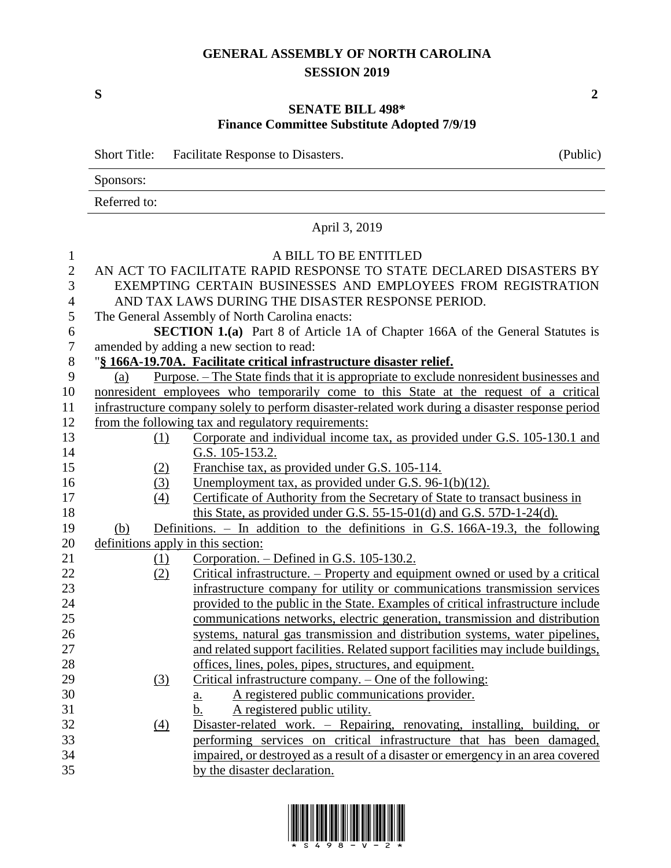## **GENERAL ASSEMBLY OF NORTH CAROLINA SESSION 2019**

**S 2**

## **SENATE BILL 498\* Finance Committee Substitute Adopted 7/9/19**

|                | <b>Short Title:</b>                            | <b>Facilitate Response to Disasters.</b>                                                         | (Public) |  |  |  |
|----------------|------------------------------------------------|--------------------------------------------------------------------------------------------------|----------|--|--|--|
|                | Sponsors:                                      |                                                                                                  |          |  |  |  |
|                | Referred to:                                   |                                                                                                  |          |  |  |  |
|                | April 3, 2019                                  |                                                                                                  |          |  |  |  |
| $\mathbf{1}$   |                                                | A BILL TO BE ENTITLED                                                                            |          |  |  |  |
| $\mathfrak{2}$ |                                                | AN ACT TO FACILITATE RAPID RESPONSE TO STATE DECLARED DISASTERS BY                               |          |  |  |  |
| 3              |                                                | EXEMPTING CERTAIN BUSINESSES AND EMPLOYEES FROM REGISTRATION                                     |          |  |  |  |
| $\overline{4}$ |                                                | AND TAX LAWS DURING THE DISASTER RESPONSE PERIOD.                                                |          |  |  |  |
| 5              | The General Assembly of North Carolina enacts: |                                                                                                  |          |  |  |  |
| 6              |                                                | <b>SECTION 1.(a)</b> Part 8 of Article 1A of Chapter 166A of the General Statutes is             |          |  |  |  |
| $\tau$         |                                                | amended by adding a new section to read:                                                         |          |  |  |  |
| $8\,$          |                                                | "§ 166A-19.70A. Facilitate critical infrastructure disaster relief.                              |          |  |  |  |
| 9              | (a)                                            | Purpose. – The State finds that it is appropriate to exclude nonresident businesses and          |          |  |  |  |
| 10             |                                                | nonresident employees who temporarily come to this State at the request of a critical            |          |  |  |  |
| 11             |                                                | infrastructure company solely to perform disaster-related work during a disaster response period |          |  |  |  |
| 12             |                                                | from the following tax and regulatory requirements:                                              |          |  |  |  |
| 13             | (1)                                            | Corporate and individual income tax, as provided under G.S. 105-130.1 and                        |          |  |  |  |
| 14             |                                                | G.S. 105-153.2.                                                                                  |          |  |  |  |
| 15             | (2)                                            | Franchise tax, as provided under G.S. 105-114.                                                   |          |  |  |  |
| 16             | (3)                                            | Unemployment tax, as provided under G.S. 96-1(b)(12).                                            |          |  |  |  |
| 17             | (4)                                            | Certificate of Authority from the Secretary of State to transact business in                     |          |  |  |  |
| 18             |                                                | this State, as provided under G.S. 55-15-01(d) and G.S. 57D-1-24(d).                             |          |  |  |  |
| 19             | (b)                                            | Definitions. $-$ In addition to the definitions in G.S. 166A-19.3, the following                 |          |  |  |  |
| 20             |                                                | definitions apply in this section:                                                               |          |  |  |  |
| 21             | $\Omega$                                       | Corporation. – Defined in G.S. 105-130.2.                                                        |          |  |  |  |
| 22             | (2)                                            | Critical infrastructure. – Property and equipment owned or used by a critical                    |          |  |  |  |
| 23             |                                                | infrastructure company for utility or communications transmission services                       |          |  |  |  |
| 24             |                                                | provided to the public in the State. Examples of critical infrastructure include                 |          |  |  |  |
| 25             |                                                | communications networks, electric generation, transmission and distribution                      |          |  |  |  |
| 26             |                                                | systems, natural gas transmission and distribution systems, water pipelines,                     |          |  |  |  |
| 27             |                                                | and related support facilities. Related support facilities may include buildings,                |          |  |  |  |
| 28             |                                                | offices, lines, poles, pipes, structures, and equipment.                                         |          |  |  |  |
| 29             | (3)                                            | Critical infrastructure company. – One of the following:                                         |          |  |  |  |
| 30             |                                                | A registered public communications provider.<br><u>a.</u>                                        |          |  |  |  |
| 31             |                                                | A registered public utility.<br>b.                                                               |          |  |  |  |
| 32             | $\underline{(4)}$                              | Disaster-related work. - Repairing, renovating, installing, building, or                         |          |  |  |  |
| 33             |                                                | performing services on critical infrastructure that has been damaged,                            |          |  |  |  |
| 34             |                                                | impaired, or destroyed as a result of a disaster or emergency in an area covered                 |          |  |  |  |
| 35             |                                                | by the disaster declaration.                                                                     |          |  |  |  |

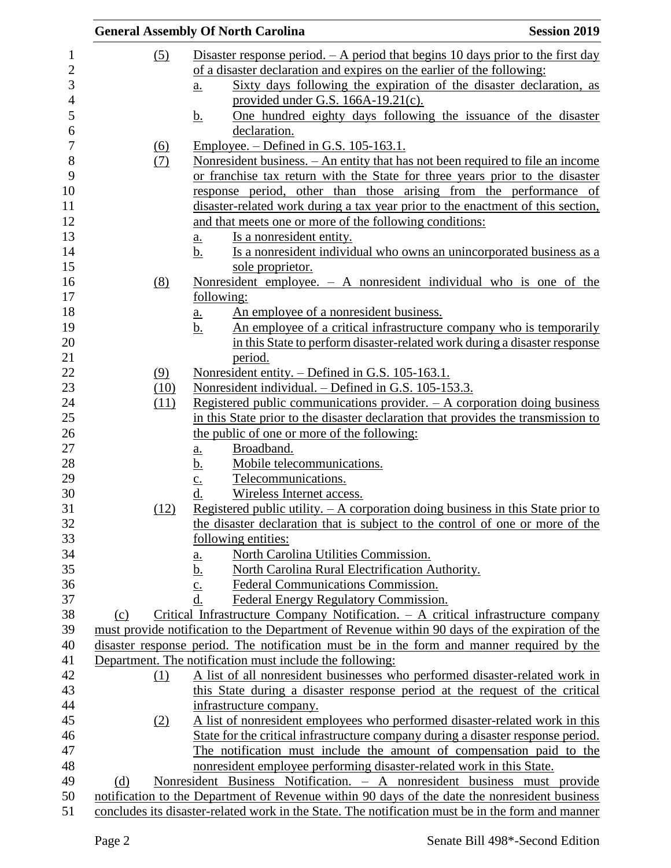|     |                   | <b>General Assembly Of North Carolina</b>                                                                                                                                                          | <b>Session 2019</b> |
|-----|-------------------|----------------------------------------------------------------------------------------------------------------------------------------------------------------------------------------------------|---------------------|
|     | (5)               | Disaster response period. $- A$ period that begins 10 days prior to the first day                                                                                                                  |                     |
|     |                   | of a disaster declaration and expires on the earlier of the following:                                                                                                                             |                     |
|     |                   | Sixty days following the expiration of the disaster declaration, as<br>$\underline{a}$ .                                                                                                           |                     |
|     |                   | provided under G.S. $166A-19.21(c)$ .                                                                                                                                                              |                     |
|     |                   | One hundred eighty days following the issuance of the disaster<br><u>b.</u>                                                                                                                        |                     |
|     |                   | declaration.                                                                                                                                                                                       |                     |
|     |                   | Employee. $-$ Defined in G.S. 105-163.1.                                                                                                                                                           |                     |
|     | <u>(6)</u><br>(7) | <u>Nonresident business. – An entity that has not been required to file an income</u>                                                                                                              |                     |
|     |                   | or franchise tax return with the State for three years prior to the disaster                                                                                                                       |                     |
|     |                   | response period, other than those arising from the performance of                                                                                                                                  |                     |
|     |                   | disaster-related work during a tax year prior to the enactment of this section,                                                                                                                    |                     |
|     |                   | and that meets one or more of the following conditions:                                                                                                                                            |                     |
|     |                   |                                                                                                                                                                                                    |                     |
|     |                   | <u>Is a nonresident entity.</u><br>a.                                                                                                                                                              |                     |
|     |                   | b.<br>Is a nonresident individual who owns an unincorporated business as a                                                                                                                         |                     |
|     |                   | sole proprietor.                                                                                                                                                                                   |                     |
|     | (8)               | Nonresident employee. $-$ A nonresident individual who is one of the                                                                                                                               |                     |
|     |                   | following:                                                                                                                                                                                         |                     |
|     |                   | An employee of a nonresident business.<br>a.                                                                                                                                                       |                     |
|     |                   | An employee of a critical infrastructure company who is temporarily<br>b.                                                                                                                          |                     |
|     |                   | in this State to perform disaster-related work during a disaster response                                                                                                                          |                     |
|     |                   | period.                                                                                                                                                                                            |                     |
|     | (9)               | Nonresident entity. - Defined in G.S. 105-163.1.                                                                                                                                                   |                     |
|     | (10)              | Nonresident individual. – Defined in G.S. 105-153.3.                                                                                                                                               |                     |
|     | (11)              | Registered public communications provider. $-$ A corporation doing business                                                                                                                        |                     |
|     |                   | in this State prior to the disaster declaration that provides the transmission to                                                                                                                  |                     |
|     |                   | the public of one or more of the following:                                                                                                                                                        |                     |
|     |                   | Broadband.<br><u>a.</u>                                                                                                                                                                            |                     |
|     |                   | Mobile telecommunications.<br><u>b.</u>                                                                                                                                                            |                     |
|     |                   | Telecommunications.<br>$\underline{c}$ .<br>$\underline{d}$ .                                                                                                                                      |                     |
|     | (12)              | Wireless Internet access.<br>Registered public utility. $- A$ corporation doing business in this State prior to                                                                                    |                     |
|     |                   | the disaster declaration that is subject to the control of one or more of the                                                                                                                      |                     |
|     |                   | following entities:                                                                                                                                                                                |                     |
|     |                   | North Carolina Utilities Commission.                                                                                                                                                               |                     |
|     |                   | <u>a.</u><br>North Carolina Rural Electrification Authority.                                                                                                                                       |                     |
|     |                   | <u>b.</u><br>Federal Communications Commission.                                                                                                                                                    |                     |
|     |                   | $\underline{c}$ .<br>d.<br>Federal Energy Regulatory Commission.                                                                                                                                   |                     |
|     |                   | Critical Infrastructure Company Notification. $-$ A critical infrastructure company                                                                                                                |                     |
| (c) |                   | must provide notification to the Department of Revenue within 90 days of the expiration of the                                                                                                     |                     |
|     |                   |                                                                                                                                                                                                    |                     |
|     |                   | disaster response period. The notification must be in the form and manner required by the                                                                                                          |                     |
|     |                   | Department. The notification must include the following:                                                                                                                                           |                     |
|     | (1)               | A list of all nonresident businesses who performed disaster-related work in                                                                                                                        |                     |
|     |                   | this State during a disaster response period at the request of the critical                                                                                                                        |                     |
|     |                   | infrastructure company.                                                                                                                                                                            |                     |
|     | (2)               | A list of nonresident employees who performed disaster-related work in this                                                                                                                        |                     |
|     |                   | State for the critical infrastructure company during a disaster response period.                                                                                                                   |                     |
|     |                   | The notification must include the amount of compensation paid to the                                                                                                                               |                     |
|     |                   | nonresident employee performing disaster-related work in this State.                                                                                                                               |                     |
| (d) |                   | Nonresident Business Notification. - A nonresident business must provide                                                                                                                           |                     |
|     |                   | notification to the Department of Revenue within 90 days of the date the nonresident business<br>concludes its disaster-related work in the State. The notification must be in the form and manner |                     |
|     |                   |                                                                                                                                                                                                    |                     |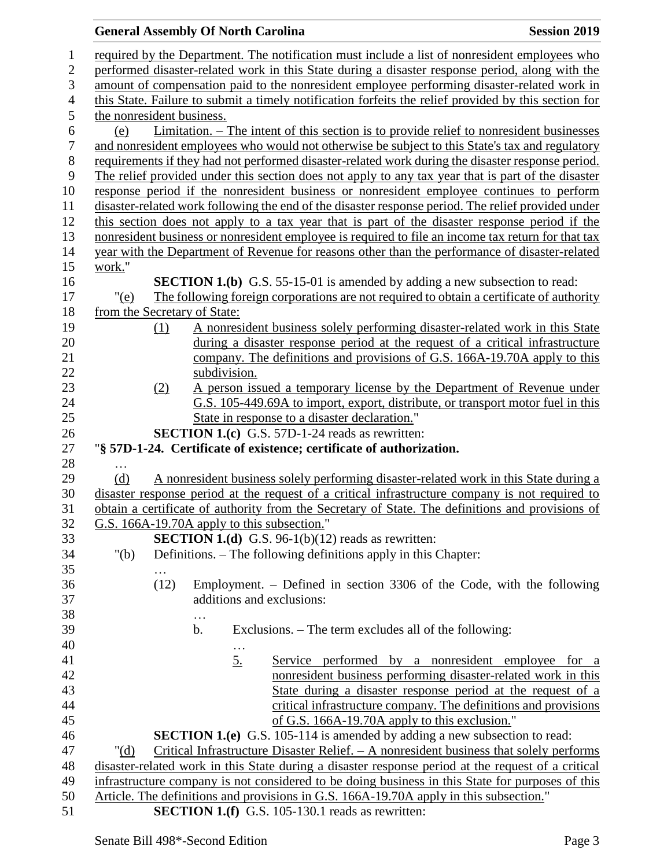## **General Assembly Of North Carolina Session 2019 Session 2019**  required by the Department. The notification must include a list of nonresident employees who performed disaster-related work in this State during a disaster response period, along with the amount of compensation paid to the nonresident employee performing disaster-related work in this State. Failure to submit a timely notification forfeits the relief provided by this section for the nonresident business. (e) Limitation. – The intent of this section is to provide relief to nonresident businesses and nonresident employees who would not otherwise be subject to this State's tax and regulatory requirements if they had not performed disaster-related work during the disaster response period. The relief provided under this section does not apply to any tax year that is part of the disaster response period if the nonresident business or nonresident employee continues to perform disaster-related work following the end of the disaster response period. The relief provided under this section does not apply to a tax year that is part of the disaster response period if the nonresident business or nonresident employee is required to file an income tax return for that tax year with the Department of Revenue for reasons other than the performance of disaster-related work." **SECTION 1.(b)** G.S. 55-15-01 is amended by adding a new subsection to read: "(e) The following foreign corporations are not required to obtain a certificate of authority from the Secretary of State: (1) A nonresident business solely performing disaster-related work in this State during a disaster response period at the request of a critical infrastructure company. The definitions and provisions of G.S. 166A-19.70A apply to this subdivision. (2) A person issued a temporary license by the Department of Revenue under G.S. 105-449.69A to import, export, distribute, or transport motor fuel in this State in response to a disaster declaration." **SECTION 1.(c)** G.S. 57D-1-24 reads as rewritten: "**§ 57D-1-24. Certificate of existence; certificate of authorization.** … (d) A nonresident business solely performing disaster-related work in this State during a disaster response period at the request of a critical infrastructure company is not required to obtain a certificate of authority from the Secretary of State. The definitions and provisions of G.S. 166A-19.70A apply to this subsection." **SECTION 1.(d)** G.S. 96-1(b)(12) reads as rewritten: "(b) Definitions. – The following definitions apply in this Chapter: … (12) Employment. – Defined in section 3306 of the Code, with the following additions and exclusions: … b. Exclusions. – The term excludes all of the following: … 5. Service performed by a nonresident employee for a nonresident business performing disaster-related work in this State during a disaster response period at the request of a critical infrastructure company. The definitions and provisions of G.S. 166A-19.70A apply to this exclusion." **SECTION 1.(e)** G.S. 105-114 is amended by adding a new subsection to read: "(d) Critical Infrastructure Disaster Relief. – A nonresident business that solely performs disaster-related work in this State during a disaster response period at the request of a critical infrastructure company is not considered to be doing business in this State for purposes of this Article. The definitions and provisions in G.S. 166A-19.70A apply in this subsection." **SECTION 1.(f)** G.S. 105-130.1 reads as rewritten: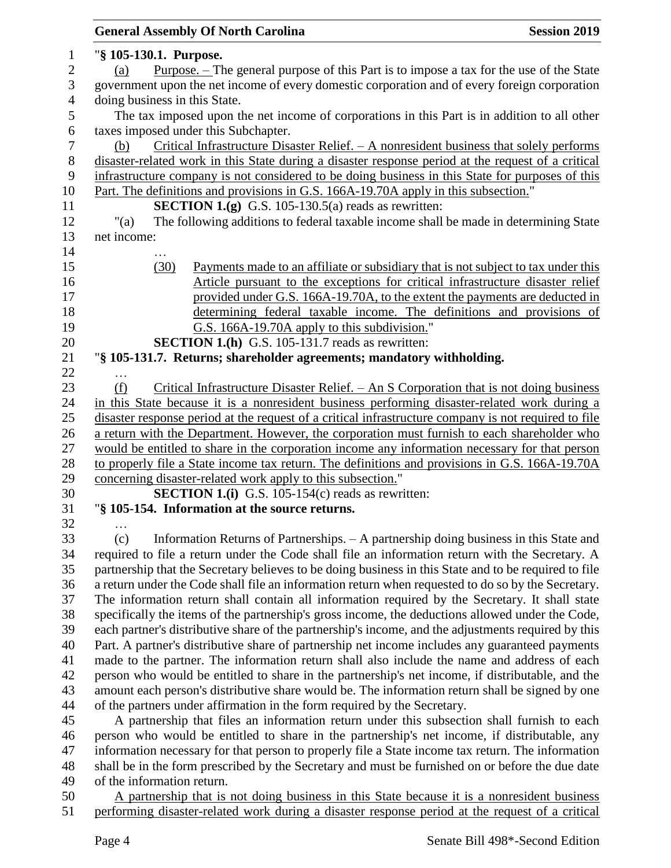|                | <b>General Assembly Of North Carolina</b><br><b>Session 2019</b>                                                                                                       |  |  |
|----------------|------------------------------------------------------------------------------------------------------------------------------------------------------------------------|--|--|
| 1              | "§ 105-130.1. Purpose.                                                                                                                                                 |  |  |
| $\mathbf{2}$   | <u>Purpose. – The general purpose of this Part is to impose a tax for the use of the State</u><br>(a)                                                                  |  |  |
| 3              | government upon the net income of every domestic corporation and of every foreign corporation                                                                          |  |  |
| $\overline{4}$ | doing business in this State.                                                                                                                                          |  |  |
| 5              | The tax imposed upon the net income of corporations in this Part is in addition to all other                                                                           |  |  |
| 6              | taxes imposed under this Subchapter.                                                                                                                                   |  |  |
| $\tau$         | Critical Infrastructure Disaster Relief. $- A$ nonresident business that solely performs<br>(b)                                                                        |  |  |
| $8\,$          | disaster-related work in this State during a disaster response period at the request of a critical                                                                     |  |  |
| 9              | infrastructure company is not considered to be doing business in this State for purposes of this                                                                       |  |  |
| 10             | Part. The definitions and provisions in G.S. 166A-19.70A apply in this subsection."                                                                                    |  |  |
| 11             | <b>SECTION 1.(g)</b> G.S. 105-130.5(a) reads as rewritten:                                                                                                             |  |  |
| 12             | " $(a)$<br>The following additions to federal taxable income shall be made in determining State                                                                        |  |  |
| 13             | net income:                                                                                                                                                            |  |  |
| 14             |                                                                                                                                                                        |  |  |
| 15             | (30)<br>Payments made to an affiliate or subsidiary that is not subject to tax under this                                                                              |  |  |
| 16             | Article pursuant to the exceptions for critical infrastructure disaster relief                                                                                         |  |  |
| 17             | provided under G.S. 166A-19.70A, to the extent the payments are deducted in                                                                                            |  |  |
| 18             | determining federal taxable income. The definitions and provisions of                                                                                                  |  |  |
| 19             | G.S. 166A-19.70A apply to this subdivision."                                                                                                                           |  |  |
| 20             | <b>SECTION 1.(h)</b> G.S. 105-131.7 reads as rewritten:                                                                                                                |  |  |
| 21             | "§ 105-131.7. Returns; shareholder agreements; mandatory withholding.                                                                                                  |  |  |
| 22             |                                                                                                                                                                        |  |  |
| 23             | Critical Infrastructure Disaster Relief. $-$ An S Corporation that is not doing business<br>(f)                                                                        |  |  |
| 24             | in this State because it is a nonresident business performing disaster-related work during a                                                                           |  |  |
| 25             | disaster response period at the request of a critical infrastructure company is not required to file                                                                   |  |  |
| 26             | a return with the Department. However, the corporation must furnish to each shareholder who                                                                            |  |  |
| 27             | would be entitled to share in the corporation income any information necessary for that person                                                                         |  |  |
| 28             | to properly file a State income tax return. The definitions and provisions in G.S. 166A-19.70A                                                                         |  |  |
| 29             | concerning disaster-related work apply to this subsection."                                                                                                            |  |  |
| 30             | <b>SECTION 1.(i)</b> G.S. 105-154 $(c)$ reads as rewritten:                                                                                                            |  |  |
| 31             | "§ 105-154. Information at the source returns.                                                                                                                         |  |  |
| 32             |                                                                                                                                                                        |  |  |
| 33             | Information Returns of Partnerships. - A partnership doing business in this State and<br>(c)                                                                           |  |  |
| 34             | required to file a return under the Code shall file an information return with the Secretary. A                                                                        |  |  |
| 35             | partnership that the Secretary believes to be doing business in this State and to be required to file                                                                  |  |  |
| 36             | a return under the Code shall file an information return when requested to do so by the Secretary.                                                                     |  |  |
| 37             | The information return shall contain all information required by the Secretary. It shall state                                                                         |  |  |
| 38             | specifically the items of the partnership's gross income, the deductions allowed under the Code,                                                                       |  |  |
| 39             | each partner's distributive share of the partnership's income, and the adjustments required by this                                                                    |  |  |
| 40             | Part. A partner's distributive share of partnership net income includes any guaranteed payments                                                                        |  |  |
| 41             | made to the partner. The information return shall also include the name and address of each                                                                            |  |  |
| 42             | person who would be entitled to share in the partnership's net income, if distributable, and the                                                                       |  |  |
| 43<br>44       | amount each person's distributive share would be. The information return shall be signed by one                                                                        |  |  |
| 45             | of the partners under affirmation in the form required by the Secretary.<br>A partnership that files an information return under this subsection shall furnish to each |  |  |
| 46             | person who would be entitled to share in the partnership's net income, if distributable, any                                                                           |  |  |
| 47             | information necessary for that person to properly file a State income tax return. The information                                                                      |  |  |
| 48             | shall be in the form prescribed by the Secretary and must be furnished on or before the due date                                                                       |  |  |
| 49             | of the information return.                                                                                                                                             |  |  |
| 50             | A partnership that is not doing business in this State because it is a nonresident business                                                                            |  |  |
| 51             | performing disaster-related work during a disaster response period at the request of a critical                                                                        |  |  |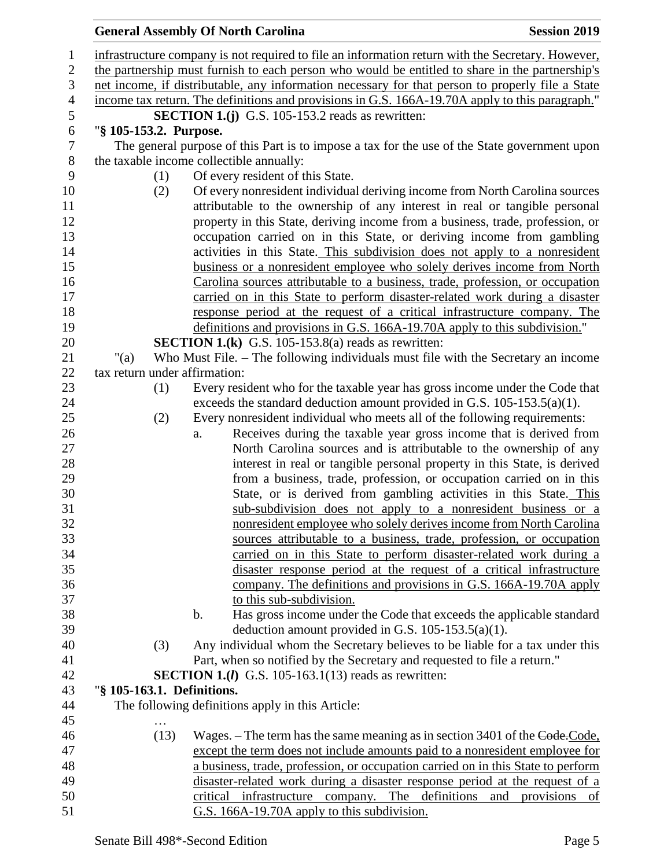|                |                               | <b>General Assembly Of North Carolina</b>                                                                                                      | <b>Session 2019</b>         |
|----------------|-------------------------------|------------------------------------------------------------------------------------------------------------------------------------------------|-----------------------------|
| 1              |                               | infrastructure company is not required to file an information return with the Secretary. However,                                              |                             |
| $\overline{2}$ |                               | the partnership must furnish to each person who would be entitled to share in the partnership's                                                |                             |
| 3              |                               | net income, if distributable, any information necessary for that person to properly file a State                                               |                             |
| $\overline{4}$ |                               | income tax return. The definitions and provisions in G.S. 166A-19.70A apply to this paragraph."                                                |                             |
| $\mathfrak s$  |                               | <b>SECTION 1.(j)</b> G.S. 105-153.2 reads as rewritten:                                                                                        |                             |
| 6              | "§ 105-153.2. Purpose.        |                                                                                                                                                |                             |
| 7              |                               | The general purpose of this Part is to impose a tax for the use of the State government upon                                                   |                             |
| 8              |                               | the taxable income collectible annually:                                                                                                       |                             |
| 9              | (1)                           | Of every resident of this State.                                                                                                               |                             |
| 10             | (2)                           | Of every nonresident individual deriving income from North Carolina sources                                                                    |                             |
| 11             |                               | attributable to the ownership of any interest in real or tangible personal                                                                     |                             |
| 12             |                               | property in this State, deriving income from a business, trade, profession, or                                                                 |                             |
| 13             |                               | occupation carried on in this State, or deriving income from gambling                                                                          |                             |
| 14             |                               | activities in this State. This subdivision does not apply to a nonresident                                                                     |                             |
| 15             |                               | business or a nonresident employee who solely derives income from North                                                                        |                             |
| 16             |                               | Carolina sources attributable to a business, trade, profession, or occupation                                                                  |                             |
| 17             |                               | carried on in this State to perform disaster-related work during a disaster                                                                    |                             |
| 18             |                               | response period at the request of a critical infrastructure company. The                                                                       |                             |
| 19             |                               | definitions and provisions in G.S. 166A-19.70A apply to this subdivision."                                                                     |                             |
| 20             |                               | <b>SECTION 1.(k)</b> G.S. 105-153.8(a) reads as rewritten:                                                                                     |                             |
| 21             | " $(a)$                       | Who Must File. – The following individuals must file with the Secretary an income                                                              |                             |
| 22             | tax return under affirmation: |                                                                                                                                                |                             |
| 23             | (1)                           | Every resident who for the taxable year has gross income under the Code that                                                                   |                             |
| 24             |                               | exceeds the standard deduction amount provided in G.S. $105-153.5(a)(1)$ .                                                                     |                             |
| 25             | (2)                           | Every nonresident individual who meets all of the following requirements:                                                                      |                             |
| 26<br>27       |                               | Receives during the taxable year gross income that is derived from<br>a.<br>North Carolina sources and is attributable to the ownership of any |                             |
| 28             |                               | interest in real or tangible personal property in this State, is derived                                                                       |                             |
| 29             |                               | from a business, trade, profession, or occupation carried on in this                                                                           |                             |
| 30             |                               | State, or is derived from gambling activities in this State. This                                                                              |                             |
| 31             |                               | sub-subdivision does not apply to a nonresident business or a                                                                                  |                             |
| 32             |                               | nonresident employee who solely derives income from North Carolina                                                                             |                             |
| 33             |                               | sources attributable to a business, trade, profession, or occupation                                                                           |                             |
| 34             |                               | carried on in this State to perform disaster-related work during a                                                                             |                             |
| 35             |                               | disaster response period at the request of a critical infrastructure                                                                           |                             |
| 36             |                               | company. The definitions and provisions in G.S. 166A-19.70A apply                                                                              |                             |
| 37             |                               | to this sub-subdivision.                                                                                                                       |                             |
| 38             |                               | Has gross income under the Code that exceeds the applicable standard<br>b.                                                                     |                             |
| 39             |                               | deduction amount provided in G.S. $105-153.5(a)(1)$ .                                                                                          |                             |
| 40             | (3)                           | Any individual whom the Secretary believes to be liable for a tax under this                                                                   |                             |
| 41             |                               | Part, when so notified by the Secretary and requested to file a return."                                                                       |                             |
| 42             |                               | <b>SECTION 1.(<i>l</i></b> ) G.S. 105-163.1(13) reads as rewritten:                                                                            |                             |
| 43             | "§ 105-163.1. Definitions.    |                                                                                                                                                |                             |
| 44             |                               | The following definitions apply in this Article:                                                                                               |                             |
| 45             |                               |                                                                                                                                                |                             |
| 46             | (13)                          | Wages. – The term has the same meaning as in section 3401 of the Code. Code,                                                                   |                             |
| 47             |                               | except the term does not include amounts paid to a nonresident employee for                                                                    |                             |
| 48             |                               | a business, trade, profession, or occupation carried on in this State to perform                                                               |                             |
| 49             |                               | disaster-related work during a disaster response period at the request of a                                                                    |                             |
| 50             |                               | critical infrastructure company. The definitions<br>and                                                                                        | provisions<br><sub>of</sub> |
| 51             |                               | G.S. 166A-19.70A apply to this subdivision.                                                                                                    |                             |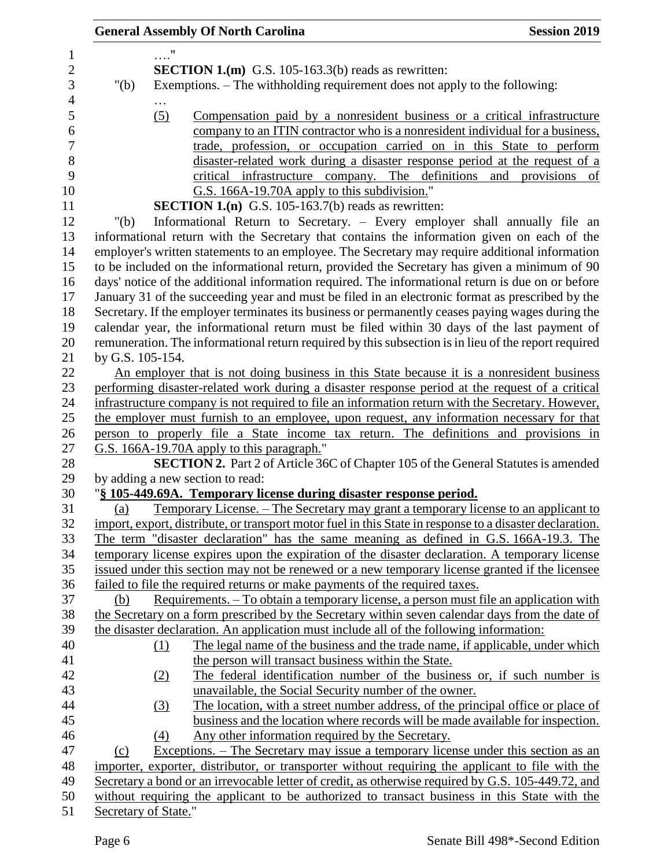|                      |     | <b>General Assembly Of North Carolina</b>                                                                | <b>Session 2019</b> |
|----------------------|-----|----------------------------------------------------------------------------------------------------------|---------------------|
|                      | . " |                                                                                                          |                     |
|                      |     | <b>SECTION 1.(m)</b> G.S. 105-163.3(b) reads as rewritten:                                               |                     |
| " $(b)$              |     | Exemptions. – The withholding requirement does not apply to the following:                               |                     |
|                      |     |                                                                                                          |                     |
|                      | (5) | Compensation paid by a nonresident business or a critical infrastructure                                 |                     |
|                      |     | company to an ITIN contractor who is a nonresident individual for a business,                            |                     |
|                      |     | trade, profession, or occupation carried on in this State to perform                                     |                     |
|                      |     | disaster-related work during a disaster response period at the request of a                              |                     |
|                      |     | critical infrastructure company. The definitions and provisions of                                       |                     |
|                      |     | G.S. 166A-19.70A apply to this subdivision."                                                             |                     |
|                      |     | <b>SECTION 1.(n)</b> G.S. 105-163.7(b) reads as rewritten:                                               |                     |
| " $(b)$              |     | Informational Return to Secretary. - Every employer shall annually file an                               |                     |
|                      |     | informational return with the Secretary that contains the information given on each of the               |                     |
|                      |     | employer's written statements to an employee. The Secretary may require additional information           |                     |
|                      |     | to be included on the informational return, provided the Secretary has given a minimum of 90             |                     |
|                      |     | days' notice of the additional information required. The informational return is due on or before        |                     |
|                      |     | January 31 of the succeeding year and must be filed in an electronic format as prescribed by the         |                     |
|                      |     | Secretary. If the employer terminates its business or permanently ceases paying wages during the         |                     |
|                      |     | calendar year, the informational return must be filed within 30 days of the last payment of              |                     |
|                      |     | remuneration. The informational return required by this subsection is in lieu of the report required     |                     |
| by G.S. 105-154.     |     |                                                                                                          |                     |
|                      |     | An employer that is not doing business in this State because it is a nonresident business                |                     |
|                      |     | performing disaster-related work during a disaster response period at the request of a critical          |                     |
|                      |     | infrastructure company is not required to file an information return with the Secretary. However,        |                     |
|                      |     | the employer must furnish to an employee, upon request, any information necessary for that               |                     |
|                      |     | person to properly file a State income tax return. The definitions and provisions in                     |                     |
|                      |     | G.S. 166A-19.70A apply to this paragraph."                                                               |                     |
|                      |     | SECTION 2. Part 2 of Article 36C of Chapter 105 of the General Statutes is amended                       |                     |
|                      |     | by adding a new section to read:                                                                         |                     |
|                      |     | "§ 105-449.69A. Temporary license during disaster response period.                                       |                     |
| (a)                  |     | Temporary License. – The Secretary may grant a temporary license to an applicant to                      |                     |
|                      |     | import, export, distribute, or transport motor fuel in this State in response to a disaster declaration. |                     |
|                      |     | The term "disaster declaration" has the same meaning as defined in G.S. 166A-19.3. The                   |                     |
|                      |     | temporary license expires upon the expiration of the disaster declaration. A temporary license           |                     |
|                      |     | issued under this section may not be renewed or a new temporary license granted if the licensee          |                     |
|                      |     | failed to file the required returns or make payments of the required taxes.                              |                     |
| (b)                  |     | Requirements. – To obtain a temporary license, a person must file an application with                    |                     |
|                      |     | the Secretary on a form prescribed by the Secretary within seven calendar days from the date of          |                     |
|                      |     | the disaster declaration. An application must include all of the following information:                  |                     |
|                      | (1) | The legal name of the business and the trade name, if applicable, under which                            |                     |
|                      |     | the person will transact business within the State.                                                      |                     |
|                      | (2) | The federal identification number of the business or, if such number is                                  |                     |
|                      |     | unavailable, the Social Security number of the owner.                                                    |                     |
|                      | (3) | The location, with a street number address, of the principal office or place of                          |                     |
|                      |     | business and the location where records will be made available for inspection.                           |                     |
|                      | (4) | Any other information required by the Secretary.                                                         |                     |
| (c)                  |     | Exceptions. – The Secretary may issue a temporary license under this section as an                       |                     |
|                      |     | importer, exporter, distributor, or transporter without requiring the applicant to file with the         |                     |
|                      |     | Secretary a bond or an irrevocable letter of credit, as otherwise required by G.S. 105-449.72, and       |                     |
|                      |     | without requiring the applicant to be authorized to transact business in this State with the             |                     |
| Secretary of State." |     |                                                                                                          |                     |